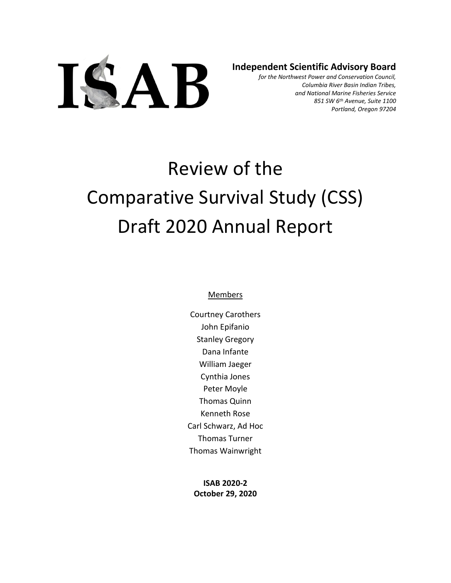

**Independent Scientific Advisory Board**

*for the Northwest Power and Conservation Council, Columbia River Basin Indian Tribes, and National Marine Fisheries Service 851 SW 6th Avenue, Suite 1100 Portland, Oregon 97204*

# Review of the Comparative Survival Study (CSS) Draft 2020 Annual Report

#### Members

Courtney Carothers John Epifanio Stanley Gregory Dana Infante William Jaeger Cynthia Jones Peter Moyle Thomas Quinn Kenneth Rose Carl Schwarz, Ad Hoc Thomas Turner Thomas Wainwright

**ISAB 2020-2 October 29, 2020**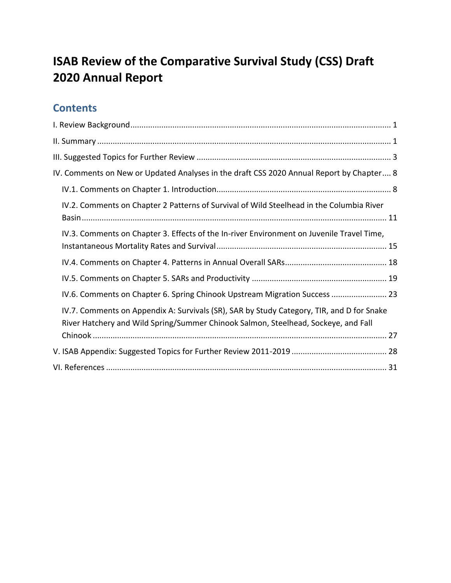# **ISAB Review of the Comparative Survival Study (CSS) Draft 2020 Annual Report**

## **Contents**

| IV. Comments on New or Updated Analyses in the draft CSS 2020 Annual Report by Chapter 8                                                                                        |
|---------------------------------------------------------------------------------------------------------------------------------------------------------------------------------|
|                                                                                                                                                                                 |
| IV.2. Comments on Chapter 2 Patterns of Survival of Wild Steelhead in the Columbia River                                                                                        |
| IV.3. Comments on Chapter 3. Effects of the In-river Environment on Juvenile Travel Time,                                                                                       |
|                                                                                                                                                                                 |
|                                                                                                                                                                                 |
| IV.6. Comments on Chapter 6. Spring Chinook Upstream Migration Success  23                                                                                                      |
| IV.7. Comments on Appendix A: Survivals (SR), SAR by Study Category, TIR, and D for Snake<br>River Hatchery and Wild Spring/Summer Chinook Salmon, Steelhead, Sockeye, and Fall |
|                                                                                                                                                                                 |
|                                                                                                                                                                                 |
|                                                                                                                                                                                 |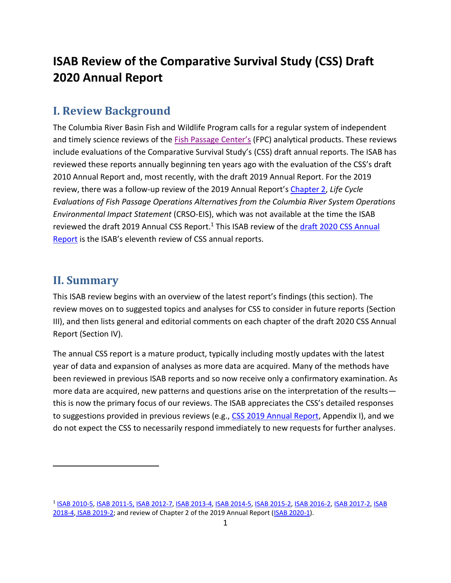# **ISAB Review of the Comparative Survival Study (CSS) Draft 2020 Annual Report**

## <span id="page-2-0"></span>**I. Review Background**

The Columbia River Basin Fish and Wildlife Program calls for a regular system of independent and timely science reviews of the [Fish Passage Center's](https://www.fpc.org/) (FPC) analytical products. These reviews include evaluations of the Comparative Survival Study's (CSS) draft annual reports. The ISAB has reviewed these reports annually beginning ten years ago with the evaluation of the CSS's draft 2010 Annual Report and, most recently, with the draft 2019 Annual Report. For the 2019 review, there was a follow-up review of the 2019 Annual Report'[s Chapter 2,](https://www.fpc.org/documents/CSS/CRSO/CRSO-84.pdf) *Life Cycle Evaluations of Fish Passage Operations Alternatives from the Columbia River System Operations Environmental Impact Statement* (CRSO-EIS), which was not available at the time the ISAB reviewed the draft 2019 Annual CSS Report.<sup>1</sup> This ISAB review of the draft 2020 CSS Annual [Report](https://www.fpc.org/documents/CSS/2020CSSDraftReport.pdf) is the ISAB's eleventh review of CSS annual reports.

## <span id="page-2-1"></span>**II. Summary**

This ISAB review begins with an overview of the latest report's findings (this section). The review moves on to suggested topics and analyses for CSS to consider in future reports (Section III), and then lists general and editorial comments on each chapter of the draft 2020 CSS Annual Report (Section IV).

The annual CSS report is a mature product, typically including mostly updates with the latest year of data and expansion of analyses as more data are acquired. Many of the methods have been reviewed in previous ISAB reports and so now receive only a confirmatory examination. As more data are acquired, new patterns and questions arise on the interpretation of the results this is now the primary focus of our reviews. The ISAB appreciates the CSS's detailed responses to suggestions provided in previous reviews (e.g., CSS 2019 [Annual Report,](https://www.fpc.org/documents/CSS/2019-CSS-Report-Fix.pdf) Appendix I), and we do not expect the CSS to necessarily respond immediately to new requests for further analyses.

<sup>1</sup> [ISAB 2010-5,](http://www.nwcouncil.org/fw/isab/isab2010-5) [ISAB 2011-5,](http://www.nwcouncil.org/fw/isab/isab2011-5) [ISAB 2012-7,](http://www.nwcouncil.org/fw/isab/isab2012-7/) [ISAB 2013-4,](http://www.nwcouncil.org/fw/isab/isab2013-4) [ISAB 2014-5,](http://www.nwcouncil.org/fw/isab/isab2014-5) [ISAB 2015-2,](http://www.nwcouncil.org/fw/isab/isab2015-2/) [ISAB 2016-2,](http://www.nwcouncil.org/fw/isab/isab2016-2) [ISAB 2017-2,](https://www.nwcouncil.org/fish-and-wildlife/fw-independent-advisory-committees/independent-scientific-advisory-board/review-of-comparative-survival-study-draft-2017-annual-report) [ISAB](https://www.nwcouncil.org/sites/default/files/ISAB%202018-4%20ReviewCSSdraft2018AnnualReport18Oct.pdf) [2018-4,](https://www.nwcouncil.org/sites/default/files/ISAB%202018-4%20ReviewCSSdraft2018AnnualReport18Oct.pdf) [ISAB 2019-2;](https://www.nwcouncil.org/reports/isab-review-comparative-survival-study-css-draft-2019-annual-report) and review of Chapter 2 of the 2019 Annual Report [\(ISAB 2020-1\)](https://www.nwcouncil.org/reports/isab-review-chapter-2-comparative-survival-study-css-2019-annual-report).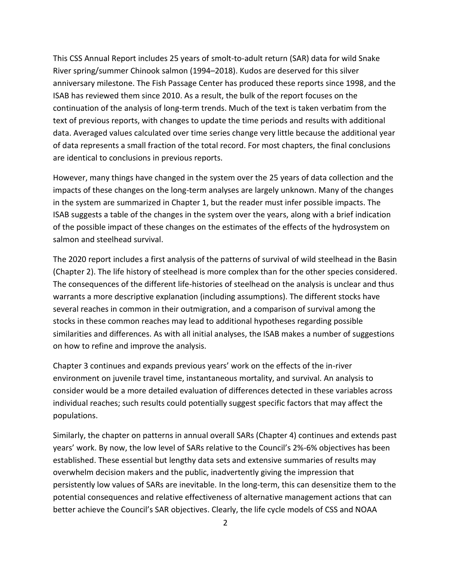This CSS Annual Report includes 25 years of smolt-to-adult return (SAR) data for wild Snake River spring/summer Chinook salmon (1994–2018). Kudos are deserved for this silver anniversary milestone. The Fish Passage Center has produced these reports since 1998, and the ISAB has reviewed them since 2010. As a result, the bulk of the report focuses on the continuation of the analysis of long-term trends. Much of the text is taken verbatim from the text of previous reports, with changes to update the time periods and results with additional data. Averaged values calculated over time series change very little because the additional year of data represents a small fraction of the total record. For most chapters, the final conclusions are identical to conclusions in previous reports.

However, many things have changed in the system over the 25 years of data collection and the impacts of these changes on the long-term analyses are largely unknown. Many of the changes in the system are summarized in Chapter 1, but the reader must infer possible impacts. The ISAB suggests a table of the changes in the system over the years, along with a brief indication of the possible impact of these changes on the estimates of the effects of the hydrosystem on salmon and steelhead survival.

The 2020 report includes a first analysis of the patterns of survival of wild steelhead in the Basin (Chapter 2). The life history of steelhead is more complex than for the other species considered. The consequences of the different life-histories of steelhead on the analysis is unclear and thus warrants a more descriptive explanation (including assumptions). The different stocks have several reaches in common in their outmigration, and a comparison of survival among the stocks in these common reaches may lead to additional hypotheses regarding possible similarities and differences. As with all initial analyses, the ISAB makes a number of suggestions on how to refine and improve the analysis.

Chapter 3 continues and expands previous years' work on the effects of the in-river environment on juvenile travel time, instantaneous mortality, and survival. An analysis to consider would be a more detailed evaluation of differences detected in these variables across individual reaches; such results could potentially suggest specific factors that may affect the populations.

Similarly, the chapter on patterns in annual overall SARs (Chapter 4) continues and extends past years' work. By now, the low level of SARs relative to the Council's 2%-6% objectives has been established. These essential but lengthy data sets and extensive summaries of results may overwhelm decision makers and the public, inadvertently giving the impression that persistently low values of SARs are inevitable. In the long-term, this can desensitize them to the potential consequences and relative effectiveness of alternative management actions that can better achieve the Council's SAR objectives. Clearly, the life cycle models of CSS and NOAA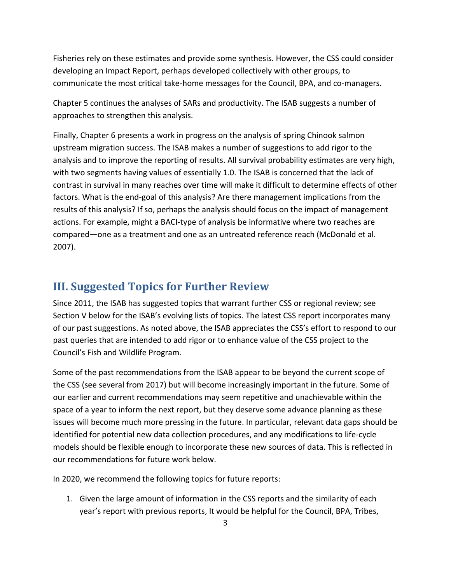Fisheries rely on these estimates and provide some synthesis. However, the CSS could consider developing an Impact Report, perhaps developed collectively with other groups, to communicate the most critical take-home messages for the Council, BPA, and co-managers.

Chapter 5 continues the analyses of SARs and productivity. The ISAB suggests a number of approaches to strengthen this analysis.

Finally, Chapter 6 presents a work in progress on the analysis of spring Chinook salmon upstream migration success. The ISAB makes a number of suggestions to add rigor to the analysis and to improve the reporting of results. All survival probability estimates are very high, with two segments having values of essentially 1.0. The ISAB is concerned that the lack of contrast in survival in many reaches over time will make it difficult to determine effects of other factors. What is the end-goal of this analysis? Are there management implications from the results of this analysis? If so, perhaps the analysis should focus on the impact of management actions. For example, might a BACI-type of analysis be informative where two reaches are compared—one as a treatment and one as an untreated reference reach (McDonald et al. 2007).

## <span id="page-4-0"></span>**III. Suggested Topics for Further Review**

Since 2011, the ISAB has suggested topics that warrant further CSS or regional review; see Section V below for the ISAB's evolving lists of topics. The latest CSS report incorporates many of our past suggestions. As noted above, the ISAB appreciates the CSS's effort to respond to our past queries that are intended to add rigor or to enhance value of the CSS project to the Council's Fish and Wildlife Program.

Some of the past recommendations from the ISAB appear to be beyond the current scope of the CSS (see several from 2017) but will become increasingly important in the future. Some of our earlier and current recommendations may seem repetitive and unachievable within the space of a year to inform the next report, but they deserve some advance planning as these issues will become much more pressing in the future. In particular, relevant data gaps should be identified for potential new data collection procedures, and any modifications to life-cycle models should be flexible enough to incorporate these new sources of data. This is reflected in our recommendations for future work below.

In 2020, we recommend the following topics for future reports:

1. Given the large amount of information in the CSS reports and the similarity of each year's report with previous reports, It would be helpful for the Council, BPA, Tribes,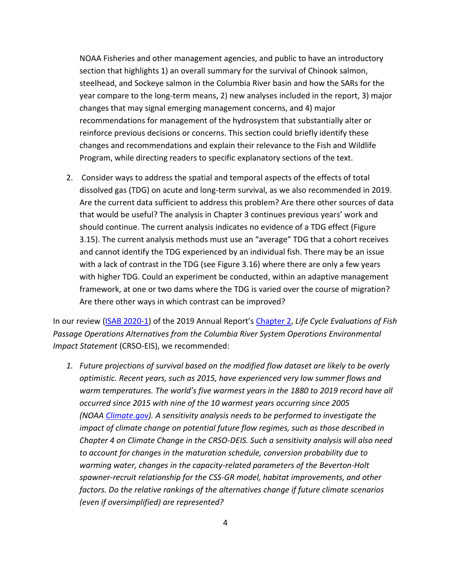NOAA Fisheries and other management agencies, and public to have an introductory section that highlights 1) an overall summary for the survival of Chinook salmon, steelhead, and Sockeye salmon in the Columbia River basin and how the SARs for the year compare to the long-term means, 2) new analyses included in the report, 3) major changes that may signal emerging management concerns, and 4) major recommendations for management of the hydrosystem that substantially alter or reinforce previous decisions or concerns. This section could briefly identify these changes and recommendations and explain their relevance to the Fish and Wildlife Program, while directing readers to specific explanatory sections of the text.

2. Consider ways to address the spatial and temporal aspects of the effects of total dissolved gas (TDG) on acute and long-term survival, as we also recommended in 2019. Are the current data sufficient to address this problem? Are there other sources of data that would be useful? The analysis in Chapter 3 continues previous years' work and should continue. The current analysis indicates no evidence of a TDG effect (Figure 3.15). The current analysis methods must use an "average" TDG that a cohort receives and cannot identify the TDG experienced by an individual fish. There may be an issue with a lack of contrast in the TDG (see Figure 3.16) where there are only a few years with higher TDG. Could an experiment be conducted, within an adaptive management framework, at one or two dams where the TDG is varied over the course of migration? Are there other ways in which contrast can be improved?

In our review [\(ISAB 2020-1\)](https://www.nwcouncil.org/reports/isab-review-chapter-2-comparative-survival-study-css-2019-annual-report) of the 2019 Annual Report's [Chapter 2,](https://www.fpc.org/documents/CSS/CRSO/CRSO-84.pdf) *Life Cycle Evaluations of Fish Passage Operations Alternatives from the Columbia River System Operations Environmental Impact Statement* (CRSO-EIS), we recommended:

*1. Future projections of survival based on the modified flow dataset are likely to be overly optimistic. Recent years, such as 2015, have experienced very low summer flows and warm temperatures. The world's five warmest years in the 1880 to 2019 record have all occurred since 2015 with nine of the 10 warmest years occurring since 2005 (NOAA [Climate.gov\)](https://www.climate.gov/news-features/understanding-climate/climate-change-global-temperature). A sensitivity analysis needs to be performed to investigate the impact of climate change on potential future flow regimes, such as those described in Chapter 4 on Climate Change in the CRSO-DEIS. Such a sensitivity analysis will also need to account for changes in the maturation schedule, conversion probability due to warming water, changes in the capacity-related parameters of the Beverton-Holt spawner-recruit relationship for the CSS-GR model, habitat improvements, and other factors. Do the relative rankings of the alternatives change if future climate scenarios (even if oversimplified) are represented?*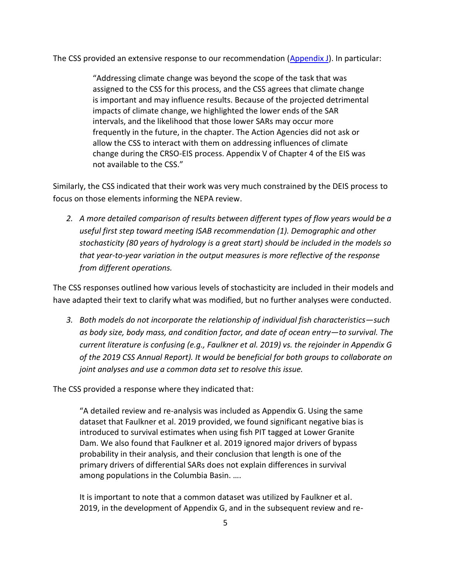The CSS provided an extensive response to our recommendation [\(Appendix J\)](https://www.fpc.org/documents/CSS/2019CSSAnnualReport.pdf). In particular:

"Addressing climate change was beyond the scope of the task that was assigned to the CSS for this process, and the CSS agrees that climate change is important and may influence results. Because of the projected detrimental impacts of climate change, we highlighted the lower ends of the SAR intervals, and the likelihood that those lower SARs may occur more frequently in the future, in the chapter. The Action Agencies did not ask or allow the CSS to interact with them on addressing influences of climate change during the CRSO-EIS process. Appendix V of Chapter 4 of the EIS was not available to the CSS."

Similarly, the CSS indicated that their work was very much constrained by the DEIS process to focus on those elements informing the NEPA review.

*2. A more detailed comparison of results between different types of flow years would be a useful first step toward meeting ISAB recommendation (1). Demographic and other stochasticity (80 years of hydrology is a great start) should be included in the models so that year-to-year variation in the output measures is more reflective of the response from different operations.*

The CSS responses outlined how various levels of stochasticity are included in their models and have adapted their text to clarify what was modified, but no further analyses were conducted.

*3. Both models do not incorporate the relationship of individual fish characteristics—such as body size, body mass, and condition factor, and date of ocean entry—to survival. The current literature is confusing (e.g., Faulkner et al. 2019) vs. the rejoinder in Appendix G of the 2019 CSS Annual Report). It would be beneficial for both groups to collaborate on joint analyses and use a common data set to resolve this issue.*

The CSS provided a response where they indicated that:

"A detailed review and re-analysis was included as Appendix G. Using the same dataset that Faulkner et al. 2019 provided, we found significant negative bias is introduced to survival estimates when using fish PIT tagged at Lower Granite Dam. We also found that Faulkner et al. 2019 ignored major drivers of bypass probability in their analysis, and their conclusion that length is one of the primary drivers of differential SARs does not explain differences in survival among populations in the Columbia Basin. ….

It is important to note that a common dataset was utilized by Faulkner et al. 2019, in the development of Appendix G, and in the subsequent review and re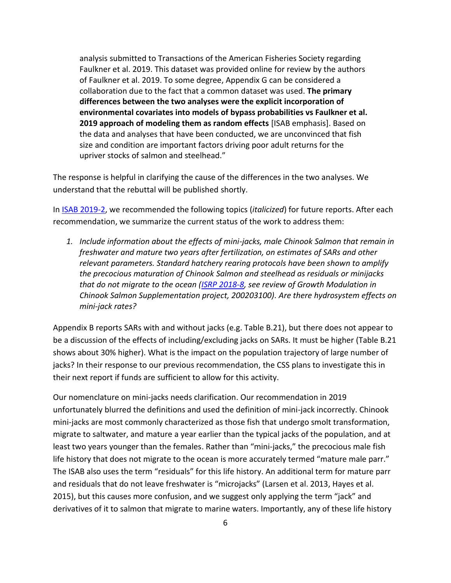analysis submitted to Transactions of the American Fisheries Society regarding Faulkner et al. 2019. This dataset was provided online for review by the authors of Faulkner et al. 2019. To some degree, Appendix G can be considered a collaboration due to the fact that a common dataset was used. **The primary differences between the two analyses were the explicit incorporation of environmental covariates into models of bypass probabilities vs Faulkner et al. 2019 approach of modeling them as random effects** [ISAB emphasis]. Based on the data and analyses that have been conducted, we are unconvinced that fish size and condition are important factors driving poor adult returns for the upriver stocks of salmon and steelhead."

The response is helpful in clarifying the cause of the differences in the two analyses. We understand that the rebuttal will be published shortly.

In [ISAB 2019-2,](https://www.nwcouncil.org/reports/isab-review-comparative-survival-study-css-draft-2019-annual-report) we recommended the following topics (*italicized*) for future reports. After each recommendation, we summarize the current status of the work to address them:

*1. Include information about the effects of mini-jacks, male Chinook Salmon that remain in freshwater and mature two years after fertilization, on estimates of SARs and other relevant parameters. Standard hatchery rearing protocols have been shown to amplify the precocious maturation of Chinook Salmon and steelhead as residuals or minijacks that do not migrate to the ocean [\(ISRP 2018-8,](https://www.nwcouncil.org/reports/isrp-2018-research-project-status-review) see review of Growth Modulation in Chinook Salmon Supplementation project, 200203100). Are there hydrosystem effects on mini-jack rates?* 

Appendix B reports SARs with and without jacks (e.g. Table B.21), but there does not appear to be a discussion of the effects of including/excluding jacks on SARs. It must be higher (Table B.21 shows about 30% higher). What is the impact on the population trajectory of large number of jacks? In their response to our previous recommendation, the CSS plans to investigate this in their next report if funds are sufficient to allow for this activity.

Our nomenclature on mini-jacks needs clarification. Our recommendation in 2019 unfortunately blurred the definitions and used the definition of mini-jack incorrectly. Chinook mini-jacks are most commonly characterized as those fish that undergo smolt transformation, migrate to saltwater, and mature a year earlier than the typical jacks of the population, and at least two years younger than the females. Rather than "mini-jacks," the precocious male fish life history that does not migrate to the ocean is more accurately termed "mature male parr." The ISAB also uses the term "residuals" for this life history. An additional term for mature parr and residuals that do not leave freshwater is "microjacks" (Larsen et al. 2013, Hayes et al. 2015), but this causes more confusion, and we suggest only applying the term "jack" and derivatives of it to salmon that migrate to marine waters. Importantly, any of these life history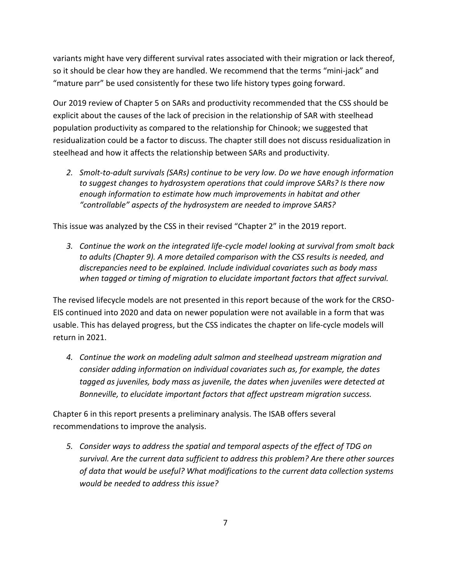variants might have very different survival rates associated with their migration or lack thereof, so it should be clear how they are handled. We recommend that the terms "mini-jack" and "mature parr" be used consistently for these two life history types going forward.

Our 2019 review of Chapter 5 on SARs and productivity recommended that the CSS should be explicit about the causes of the lack of precision in the relationship of SAR with steelhead population productivity as compared to the relationship for Chinook; we suggested that residualization could be a factor to discuss. The chapter still does not discuss residualization in steelhead and how it affects the relationship between SARs and productivity.

*2. Smolt-to-adult survivals (SARs) continue to be very low. Do we have enough information to suggest changes to hydrosystem operations that could improve SARs? Is there now enough information to estimate how much improvements in habitat and other "controllable" aspects of the hydrosystem are needed to improve SARS?*

This issue was analyzed by the CSS in their revised "Chapter 2" in the 2019 report.

*3. Continue the work on the integrated life-cycle model looking at survival from smolt back to adults (Chapter 9). A more detailed comparison with the CSS results is needed, and discrepancies need to be explained. Include individual covariates such as body mass when tagged or timing of migration to elucidate important factors that affect survival.*

The revised lifecycle models are not presented in this report because of the work for the CRSO-EIS continued into 2020 and data on newer population were not available in a form that was usable. This has delayed progress, but the CSS indicates the chapter on life-cycle models will return in 2021.

*4. Continue the work on modeling adult salmon and steelhead upstream migration and consider adding information on individual covariates such as, for example, the dates tagged as juveniles, body mass as juvenile, the dates when juveniles were detected at Bonneville, to elucidate important factors that affect upstream migration success.*

Chapter 6 in this report presents a preliminary analysis. The ISAB offers several recommendations to improve the analysis.

*5. Consider ways to address the spatial and temporal aspects of the effect of TDG on survival. Are the current data sufficient to address this problem? Are there other sources of data that would be useful? What modifications to the current data collection systems would be needed to address this issue?*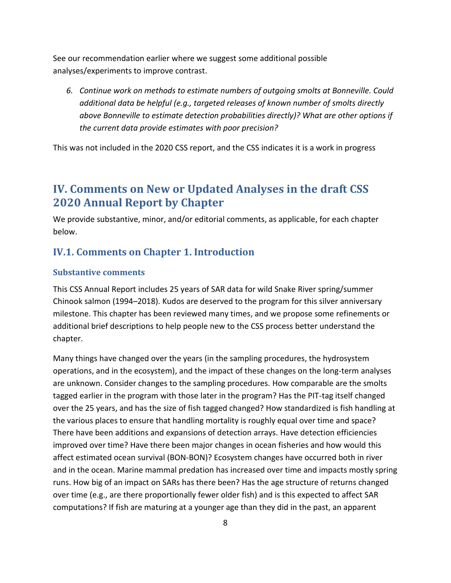See our recommendation earlier where we suggest some additional possible analyses/experiments to improve contrast.

*6. Continue work on methods to estimate numbers of outgoing smolts at Bonneville. Could additional data be helpful (e.g., targeted releases of known number of smolts directly above Bonneville to estimate detection probabilities directly)? What are other options if the current data provide estimates with poor precision?*

This was not included in the 2020 CSS report, and the CSS indicates it is a work in progress

# <span id="page-9-0"></span>**IV. Comments on New or Updated Analyses in the draft CSS 2020 Annual Report by Chapter**

We provide substantive, minor, and/or editorial comments, as applicable, for each chapter below.

## <span id="page-9-1"></span>**IV.1. Comments on Chapter 1. Introduction**

#### **Substantive comments**

This CSS Annual Report includes 25 years of SAR data for wild Snake River spring/summer Chinook salmon (1994–2018). Kudos are deserved to the program for this silver anniversary milestone. This chapter has been reviewed many times, and we propose some refinements or additional brief descriptions to help people new to the CSS process better understand the chapter.

Many things have changed over the years (in the sampling procedures, the hydrosystem operations, and in the ecosystem), and the impact of these changes on the long-term analyses are unknown. Consider changes to the sampling procedures. How comparable are the smolts tagged earlier in the program with those later in the program? Has the PIT-tag itself changed over the 25 years, and has the size of fish tagged changed? How standardized is fish handling at the various places to ensure that handling mortality is roughly equal over time and space? There have been additions and expansions of detection arrays. Have detection efficiencies improved over time? Have there been major changes in ocean fisheries and how would this affect estimated ocean survival (BON-BON)? Ecosystem changes have occurred both in river and in the ocean. Marine mammal predation has increased over time and impacts mostly spring runs. How big of an impact on SARs has there been? Has the age structure of returns changed over time (e.g., are there proportionally fewer older fish) and is this expected to affect SAR computations? If fish are maturing at a younger age than they did in the past, an apparent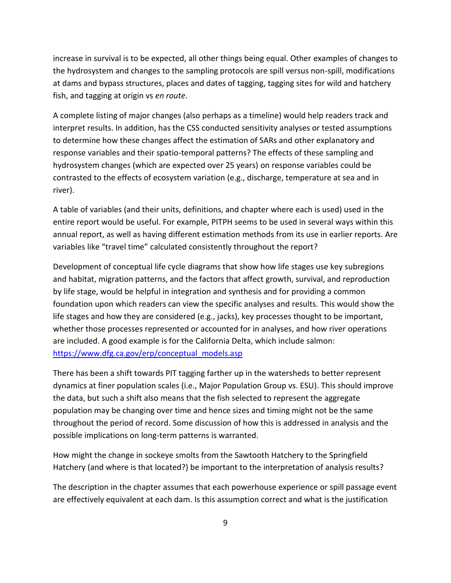increase in survival is to be expected, all other things being equal. Other examples of changes to the hydrosystem and changes to the sampling protocols are spill versus non-spill, modifications at dams and bypass structures, places and dates of tagging, tagging sites for wild and hatchery fish, and tagging at origin vs *en route*.

A complete listing of major changes (also perhaps as a timeline) would help readers track and interpret results. In addition, has the CSS conducted sensitivity analyses or tested assumptions to determine how these changes affect the estimation of SARs and other explanatory and response variables and their spatio-temporal patterns? The effects of these sampling and hydrosystem changes (which are expected over 25 years) on response variables could be contrasted to the effects of ecosystem variation (e.g., discharge, temperature at sea and in river).

A table of variables (and their units, definitions, and chapter where each is used) used in the entire report would be useful. For example, PITPH seems to be used in several ways within this annual report, as well as having different estimation methods from its use in earlier reports. Are variables like "travel time" calculated consistently throughout the report?

Development of conceptual life cycle diagrams that show how life stages use key subregions and habitat, migration patterns, and the factors that affect growth, survival, and reproduction by life stage, would be helpful in integration and synthesis and for providing a common foundation upon which readers can view the specific analyses and results. This would show the life stages and how they are considered (e.g., jacks), key processes thought to be important, whether those processes represented or accounted for in analyses, and how river operations are included. A good example is for the California Delta, which include salmon: [https://www.dfg.ca.gov/erp/conceptual\\_models.asp](https://www.dfg.ca.gov/erp/conceptual_models.asp)

There has been a shift towards PIT tagging farther up in the watersheds to better represent dynamics at finer population scales (i.e., Major Population Group vs. ESU). This should improve the data, but such a shift also means that the fish selected to represent the aggregate population may be changing over time and hence sizes and timing might not be the same throughout the period of record. Some discussion of how this is addressed in analysis and the possible implications on long-term patterns is warranted.

How might the change in sockeye smolts from the Sawtooth Hatchery to the Springfield Hatchery (and where is that located?) be important to the interpretation of analysis results?

The description in the chapter assumes that each powerhouse experience or spill passage event are effectively equivalent at each dam. Is this assumption correct and what is the justification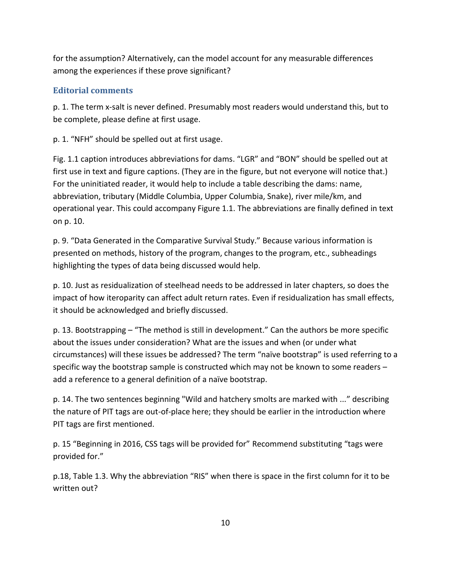for the assumption? Alternatively, can the model account for any measurable differences among the experiences if these prove significant?

#### **Editorial comments**

p. 1. The term x-salt is never defined. Presumably most readers would understand this, but to be complete, please define at first usage.

p. 1. "NFH" should be spelled out at first usage.

Fig. 1.1 caption introduces abbreviations for dams. "LGR" and "BON" should be spelled out at first use in text and figure captions. (They are in the figure, but not everyone will notice that.) For the uninitiated reader, it would help to include a table describing the dams: name, abbreviation, tributary (Middle Columbia, Upper Columbia, Snake), river mile/km, and operational year. This could accompany Figure 1.1. The abbreviations are finally defined in text on p. 10.

p. 9. "Data Generated in the Comparative Survival Study." Because various information is presented on methods, history of the program, changes to the program, etc., subheadings highlighting the types of data being discussed would help.

p. 10. Just as residualization of steelhead needs to be addressed in later chapters, so does the impact of how iteroparity can affect adult return rates. Even if residualization has small effects, it should be acknowledged and briefly discussed.

p. 13. Bootstrapping – "The method is still in development." Can the authors be more specific about the issues under consideration? What are the issues and when (or under what circumstances) will these issues be addressed? The term "naïve bootstrap" is used referring to a specific way the bootstrap sample is constructed which may not be known to some readers – add a reference to a general definition of a naïve bootstrap.

p. 14. The two sentences beginning "Wild and hatchery smolts are marked with ..." describing the nature of PIT tags are out-of-place here; they should be earlier in the introduction where PIT tags are first mentioned.

p. 15 "Beginning in 2016, CSS tags will be provided for" Recommend substituting "tags were provided for."

p.18, Table 1.3. Why the abbreviation "RIS" when there is space in the first column for it to be written out?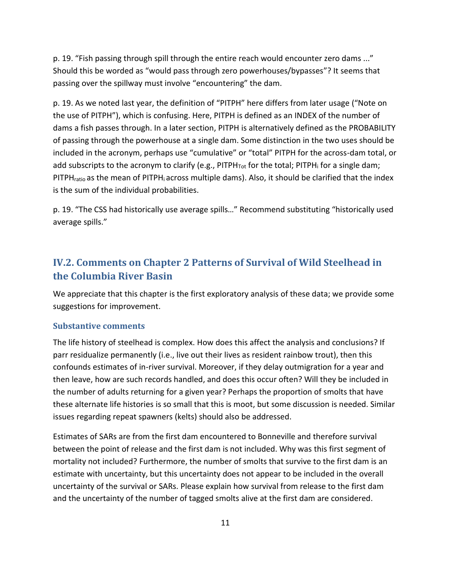p. 19. "Fish passing through spill through the entire reach would encounter zero dams ..." Should this be worded as "would pass through zero powerhouses/bypasses"? It seems that passing over the spillway must involve "encountering" the dam.

p. 19. As we noted last year, the definition of "PITPH" here differs from later usage ("Note on the use of PITPH"), which is confusing. Here, PITPH is defined as an INDEX of the number of dams a fish passes through. In a later section, PITPH is alternatively defined as the PROBABILITY of passing through the powerhouse at a single dam. Some distinction in the two uses should be included in the acronym, perhaps use "cumulative" or "total" PITPH for the across-dam total, or add subscripts to the acronym to clarify (e.g., PITPH<sub>Tot</sub> for the total; PITPH<sub>i</sub> for a single dam; PITPH<sub>ratio</sub> as the mean of PITPH<sub>i</sub> across multiple dams). Also, it should be clarified that the index is the sum of the individual probabilities.

p. 19. "The CSS had historically use average spills…" Recommend substituting "historically used average spills."

## <span id="page-12-0"></span>**IV.2. Comments on Chapter 2 Patterns of Survival of Wild Steelhead in the Columbia River Basin**

We appreciate that this chapter is the first exploratory analysis of these data; we provide some suggestions for improvement.

#### **Substantive comments**

The life history of steelhead is complex. How does this affect the analysis and conclusions? If parr residualize permanently (i.e., live out their lives as resident rainbow trout), then this confounds estimates of in-river survival. Moreover, if they delay outmigration for a year and then leave, how are such records handled, and does this occur often? Will they be included in the number of adults returning for a given year? Perhaps the proportion of smolts that have these alternate life histories is so small that this is moot, but some discussion is needed. Similar issues regarding repeat spawners (kelts) should also be addressed.

Estimates of SARs are from the first dam encountered to Bonneville and therefore survival between the point of release and the first dam is not included. Why was this first segment of mortality not included? Furthermore, the number of smolts that survive to the first dam is an estimate with uncertainty, but this uncertainty does not appear to be included in the overall uncertainty of the survival or SARs. Please explain how survival from release to the first dam and the uncertainty of the number of tagged smolts alive at the first dam are considered.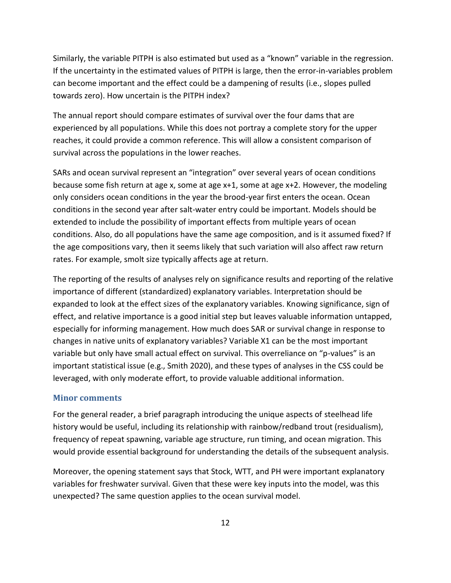Similarly, the variable PITPH is also estimated but used as a "known" variable in the regression. If the uncertainty in the estimated values of PITPH is large, then the error-in-variables problem can become important and the effect could be a dampening of results (i.e., slopes pulled towards zero). How uncertain is the PITPH index?

The annual report should compare estimates of survival over the four dams that are experienced by all populations. While this does not portray a complete story for the upper reaches, it could provide a common reference. This will allow a consistent comparison of survival across the populations in the lower reaches.

SARs and ocean survival represent an "integration" over several years of ocean conditions because some fish return at age x, some at age x+1, some at age x+2. However, the modeling only considers ocean conditions in the year the brood-year first enters the ocean. Ocean conditions in the second year after salt-water entry could be important. Models should be extended to include the possibility of important effects from multiple years of ocean conditions. Also, do all populations have the same age composition, and is it assumed fixed? If the age compositions vary, then it seems likely that such variation will also affect raw return rates. For example, smolt size typically affects age at return.

The reporting of the results of analyses rely on significance results and reporting of the relative importance of different (standardized) explanatory variables. Interpretation should be expanded to look at the effect sizes of the explanatory variables. Knowing significance, sign of effect, and relative importance is a good initial step but leaves valuable information untapped, especially for informing management. How much does SAR or survival change in response to changes in native units of explanatory variables? Variable X1 can be the most important variable but only have small actual effect on survival. This overreliance on "p-values" is an important statistical issue (e.g., Smith 2020), and these types of analyses in the CSS could be leveraged, with only moderate effort, to provide valuable additional information.

#### **Minor comments**

For the general reader, a brief paragraph introducing the unique aspects of steelhead life history would be useful, including its relationship with rainbow/redband trout (residualism), frequency of repeat spawning, variable age structure, run timing, and ocean migration. This would provide essential background for understanding the details of the subsequent analysis.

Moreover, the opening statement says that Stock, WTT, and PH were important explanatory variables for freshwater survival. Given that these were key inputs into the model, was this unexpected? The same question applies to the ocean survival model.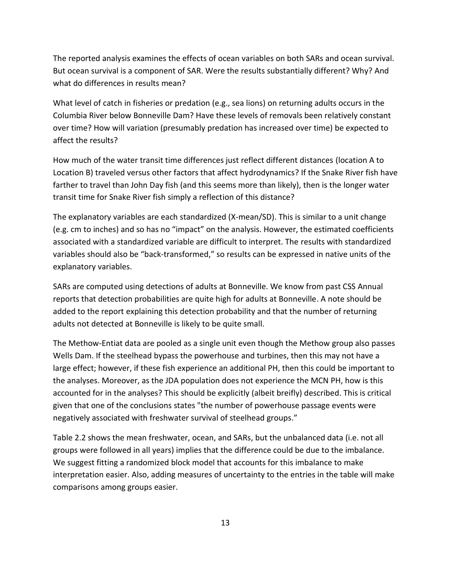The reported analysis examines the effects of ocean variables on both SARs and ocean survival. But ocean survival is a component of SAR. Were the results substantially different? Why? And what do differences in results mean?

What level of catch in fisheries or predation (e.g., sea lions) on returning adults occurs in the Columbia River below Bonneville Dam? Have these levels of removals been relatively constant over time? How will variation (presumably predation has increased over time) be expected to affect the results?

How much of the water transit time differences just reflect different distances (location A to Location B) traveled versus other factors that affect hydrodynamics? If the Snake River fish have farther to travel than John Day fish (and this seems more than likely), then is the longer water transit time for Snake River fish simply a reflection of this distance?

The explanatory variables are each standardized (X-mean/SD). This is similar to a unit change (e.g. cm to inches) and so has no "impact" on the analysis. However, the estimated coefficients associated with a standardized variable are difficult to interpret. The results with standardized variables should also be "back-transformed," so results can be expressed in native units of the explanatory variables.

SARs are computed using detections of adults at Bonneville. We know from past CSS Annual reports that detection probabilities are quite high for adults at Bonneville. A note should be added to the report explaining this detection probability and that the number of returning adults not detected at Bonneville is likely to be quite small.

The Methow-Entiat data are pooled as a single unit even though the Methow group also passes Wells Dam. If the steelhead bypass the powerhouse and turbines, then this may not have a large effect; however, if these fish experience an additional PH, then this could be important to the analyses. Moreover, as the JDA population does not experience the MCN PH, how is this accounted for in the analyses? This should be explicitly (albeit breifly) described. This is critical given that one of the conclusions states "the number of powerhouse passage events were negatively associated with freshwater survival of steelhead groups."

Table 2.2 shows the mean freshwater, ocean, and SARs, but the unbalanced data (i.e. not all groups were followed in all years) implies that the difference could be due to the imbalance. We suggest fitting a randomized block model that accounts for this imbalance to make interpretation easier. Also, adding measures of uncertainty to the entries in the table will make comparisons among groups easier.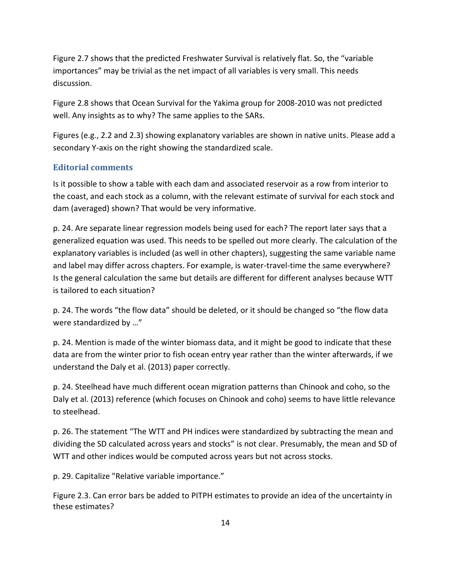Figure 2.7 shows that the predicted Freshwater Survival is relatively flat. So, the "variable importances" may be trivial as the net impact of all variables is very small. This needs discussion.

Figure 2.8 shows that Ocean Survival for the Yakima group for 2008-2010 was not predicted well. Any insights as to why? The same applies to the SARs.

Figures (e.g., 2.2 and 2.3) showing explanatory variables are shown in native units. Please add a secondary Y-axis on the right showing the standardized scale.

#### **Editorial comments**

Is it possible to show a table with each dam and associated reservoir as a row from interior to the coast, and each stock as a column, with the relevant estimate of survival for each stock and dam (averaged) shown? That would be very informative.

p. 24. Are separate linear regression models being used for each? The report later says that a generalized equation was used. This needs to be spelled out more clearly. The calculation of the explanatory variables is included (as well in other chapters), suggesting the same variable name and label may differ across chapters. For example, is water-travel-time the same everywhere? Is the general calculation the same but details are different for different analyses because WTT is tailored to each situation?

p. 24. The words "the flow data" should be deleted, or it should be changed so "the flow data were standardized by …"

p. 24. Mention is made of the winter biomass data, and it might be good to indicate that these data are from the winter prior to fish ocean entry year rather than the winter afterwards, if we understand the Daly et al. (2013) paper correctly.

p. 24. Steelhead have much different ocean migration patterns than Chinook and coho, so the Daly et al. (2013) reference (which focuses on Chinook and coho) seems to have little relevance to steelhead.

p. 26. The statement "The WTT and PH indices were standardized by subtracting the mean and dividing the SD calculated across years and stocks" is not clear. Presumably, the mean and SD of WTT and other indices would be computed across years but not across stocks.

p. 29. Capitalize "Relative variable importance."

Figure 2.3. Can error bars be added to PITPH estimates to provide an idea of the uncertainty in these estimates?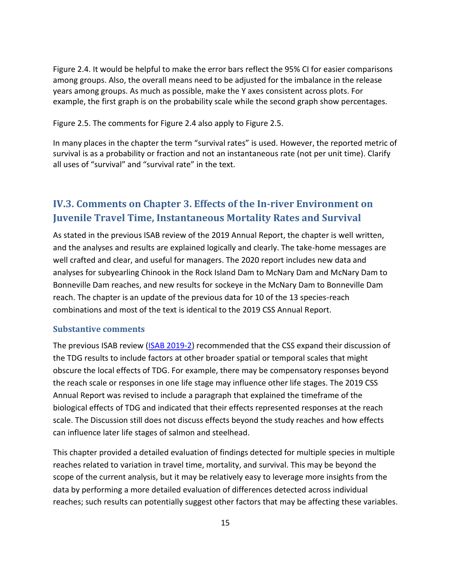Figure 2.4. It would be helpful to make the error bars reflect the 95% CI for easier comparisons among groups. Also, the overall means need to be adjusted for the imbalance in the release years among groups. As much as possible, make the Y axes consistent across plots. For example, the first graph is on the probability scale while the second graph show percentages.

Figure 2.5. The comments for Figure 2.4 also apply to Figure 2.5.

In many places in the chapter the term "survival rates" is used. However, the reported metric of survival is as a probability or fraction and not an instantaneous rate (not per unit time). Clarify all uses of "survival" and "survival rate" in the text.

## <span id="page-16-0"></span>**IV.3. Comments on Chapter 3. Effects of the In-river Environment on Juvenile Travel Time, Instantaneous Mortality Rates and Survival**

As stated in the previous ISAB review of the 2019 Annual Report, the chapter is well written, and the analyses and results are explained logically and clearly. The take-home messages are well crafted and clear, and useful for managers. The 2020 report includes new data and analyses for subyearling Chinook in the Rock Island Dam to McNary Dam and McNary Dam to Bonneville Dam reaches, and new results for sockeye in the McNary Dam to Bonneville Dam reach. The chapter is an update of the previous data for 10 of the 13 species-reach combinations and most of the text is identical to the 2019 CSS Annual Report.

#### **Substantive comments**

The previous ISAB review [\(ISAB 2019-2\)](https://www.nwcouncil.org/reports/isab-review-comparative-survival-study-css-draft-2019-annual-report) recommended that the CSS expand their discussion of the TDG results to include factors at other broader spatial or temporal scales that might obscure the local effects of TDG. For example, there may be compensatory responses beyond the reach scale or responses in one life stage may influence other life stages. The 2019 CSS Annual Report was revised to include a paragraph that explained the timeframe of the biological effects of TDG and indicated that their effects represented responses at the reach scale. The Discussion still does not discuss effects beyond the study reaches and how effects can influence later life stages of salmon and steelhead.

This chapter provided a detailed evaluation of findings detected for multiple species in multiple reaches related to variation in travel time, mortality, and survival. This may be beyond the scope of the current analysis, but it may be relatively easy to leverage more insights from the data by performing a more detailed evaluation of differences detected across individual reaches; such results can potentially suggest other factors that may be affecting these variables.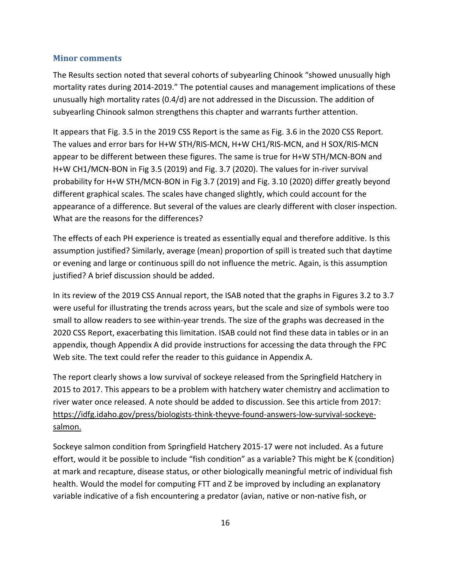#### **Minor comments**

The Results section noted that several cohorts of subyearling Chinook "showed unusually high mortality rates during 2014-2019." The potential causes and management implications of these unusually high mortality rates (0.4/d) are not addressed in the Discussion. The addition of subyearling Chinook salmon strengthens this chapter and warrants further attention.

It appears that Fig. 3.5 in the 2019 CSS Report is the same as Fig. 3.6 in the 2020 CSS Report. The values and error bars for H+W STH/RIS-MCN, H+W CH1/RIS-MCN, and H SOX/RIS-MCN appear to be different between these figures. The same is true for H+W STH/MCN-BON and H+W CH1/MCN-BON in Fig 3.5 (2019) and Fig. 3.7 (2020). The values for in-river survival probability for H+W STH/MCN-BON in Fig 3.7 (2019) and Fig. 3.10 (2020) differ greatly beyond different graphical scales. The scales have changed slightly, which could account for the appearance of a difference. But several of the values are clearly different with closer inspection. What are the reasons for the differences?

The effects of each PH experience is treated as essentially equal and therefore additive. Is this assumption justified? Similarly, average (mean) proportion of spill is treated such that daytime or evening and large or continuous spill do not influence the metric. Again, is this assumption justified? A brief discussion should be added.

In its review of the 2019 CSS Annual report, the ISAB noted that the graphs in Figures 3.2 to 3.7 were useful for illustrating the trends across years, but the scale and size of symbols were too small to allow readers to see within-year trends. The size of the graphs was decreased in the 2020 CSS Report, exacerbating this limitation. ISAB could not find these data in tables or in an appendix, though Appendix A did provide instructions for accessing the data through the FPC Web site. The text could refer the reader to this guidance in Appendix A.

The report clearly shows a low survival of sockeye released from the Springfield Hatchery in 2015 to 2017. This appears to be a problem with hatchery water chemistry and acclimation to river water once released. A note should be added to discussion. See this article from 2017: [https://idfg.idaho.gov/press/biologists-think-theyve-found-answers-low-survival-sockeye](https://idfg.idaho.gov/press/biologists-think-theyve-found-answers-low-survival-sockeye-salmon)[salmon.](https://idfg.idaho.gov/press/biologists-think-theyve-found-answers-low-survival-sockeye-salmon)

Sockeye salmon condition from Springfield Hatchery 2015-17 were not included. As a future effort, would it be possible to include "fish condition" as a variable? This might be K (condition) at mark and recapture, disease status, or other biologically meaningful metric of individual fish health. Would the model for computing FTT and Z be improved by including an explanatory variable indicative of a fish encountering a predator (avian, native or non-native fish, or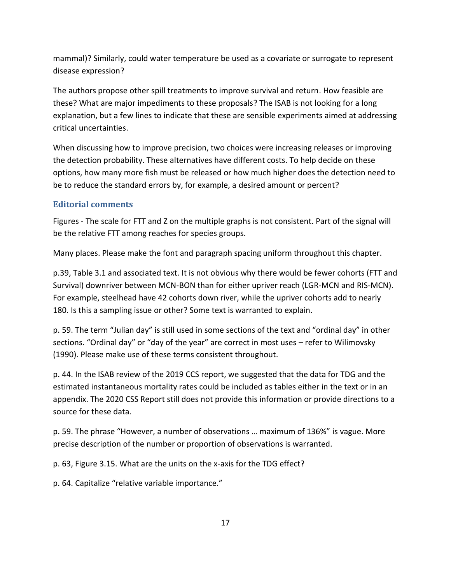mammal)? Similarly, could water temperature be used as a covariate or surrogate to represent disease expression?

The authors propose other spill treatments to improve survival and return. How feasible are these? What are major impediments to these proposals? The ISAB is not looking for a long explanation, but a few lines to indicate that these are sensible experiments aimed at addressing critical uncertainties.

When discussing how to improve precision, two choices were increasing releases or improving the detection probability. These alternatives have different costs. To help decide on these options, how many more fish must be released or how much higher does the detection need to be to reduce the standard errors by, for example, a desired amount or percent?

#### **Editorial comments**

Figures - The scale for FTT and Z on the multiple graphs is not consistent. Part of the signal will be the relative FTT among reaches for species groups.

Many places. Please make the font and paragraph spacing uniform throughout this chapter.

p.39, Table 3.1 and associated text. It is not obvious why there would be fewer cohorts (FTT and Survival) downriver between MCN-BON than for either upriver reach (LGR-MCN and RIS-MCN). For example, steelhead have 42 cohorts down river, while the upriver cohorts add to nearly 180. Is this a sampling issue or other? Some text is warranted to explain.

p. 59. The term "Julian day" is still used in some sections of the text and "ordinal day" in other sections. "Ordinal day" or "day of the year" are correct in most uses – refer to Wilimovsky (1990). Please make use of these terms consistent throughout.

p. 44. In the ISAB review of the 2019 CCS report, we suggested that the data for TDG and the estimated instantaneous mortality rates could be included as tables either in the text or in an appendix. The 2020 CSS Report still does not provide this information or provide directions to a source for these data.

p. 59. The phrase "However, a number of observations … maximum of 136%" is vague. More precise description of the number or proportion of observations is warranted.

p. 63, Figure 3.15. What are the units on the x-axis for the TDG effect?

p. 64. Capitalize "relative variable importance."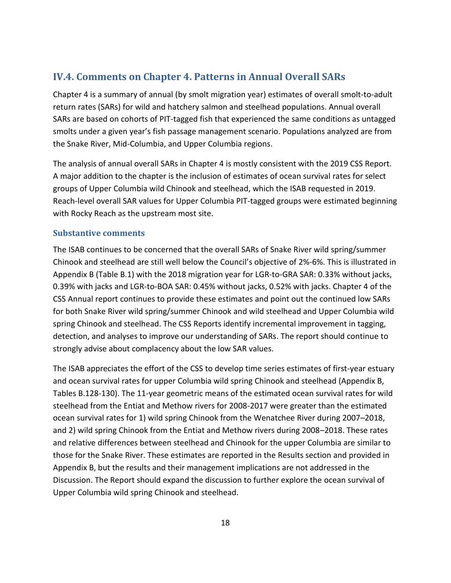### <span id="page-19-0"></span>**IV.4. Comments on Chapter 4. Patterns in Annual Overall SARs**

Chapter 4 is a summary of annual (by smolt migration year) estimates of overall smolt-to-adult return rates (SARs) for wild and hatchery salmon and steelhead populations. Annual overall SARs are based on cohorts of PIT-tagged fish that experienced the same conditions as untagged smolts under a given year's fish passage management scenario. Populations analyzed are from the Snake River, Mid-Columbia, and Upper Columbia regions.

The analysis of annual overall SARs in Chapter 4 is mostly consistent with the 2019 CSS Report. A major addition to the chapter is the inclusion of estimates of ocean survival rates for select groups of Upper Columbia wild Chinook and steelhead, which the ISAB requested in 2019. Reach-level overall SAR values for Upper Columbia PIT-tagged groups were estimated beginning with Rocky Reach as the upstream most site.

#### **Substantive comments**

The ISAB continues to be concerned that the overall SARs of Snake River wild spring/summer Chinook and steelhead are still well below the Council's objective of 2%-6%. This is illustrated in Appendix B (Table B.1) with the 2018 migration year for LGR-to-GRA SAR: 0.33% without jacks, 0.39% with jacks and LGR-to-BOA SAR: 0.45% without jacks, 0.52% with jacks. Chapter 4 of the CSS Annual report continues to provide these estimates and point out the continued low SARs for both Snake River wild spring/summer Chinook and wild steelhead and Upper Columbia wild spring Chinook and steelhead. The CSS Reports identify incremental improvement in tagging, detection, and analyses to improve our understanding of SARs. The report should continue to strongly advise about complacency about the low SAR values.

The ISAB appreciates the effort of the CSS to develop time series estimates of first-year estuary and ocean survival rates for upper Columbia wild spring Chinook and steelhead (Appendix B, Tables B.128-130). The 11-year geometric means of the estimated ocean survival rates for wild steelhead from the Entiat and Methow rivers for 2008-2017 were greater than the estimated ocean survival rates for 1) wild spring Chinook from the Wenatchee River during 2007–2018, and 2) wild spring Chinook from the Entiat and Methow rivers during 2008–2018. These rates and relative differences between steelhead and Chinook for the upper Columbia are similar to those for the Snake River. These estimates are reported in the Results section and provided in Appendix B, but the results and their management implications are not addressed in the Discussion. The Report should expand the discussion to further explore the ocean survival of Upper Columbia wild spring Chinook and steelhead.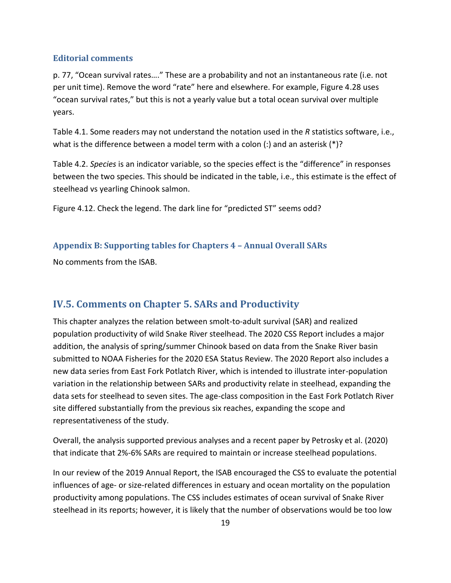#### **Editorial comments**

p. 77, "Ocean survival rates…." These are a probability and not an instantaneous rate (i.e. not per unit time). Remove the word "rate" here and elsewhere. For example, Figure 4.28 uses "ocean survival rates," but this is not a yearly value but a total ocean survival over multiple years.

Table 4.1. Some readers may not understand the notation used in the *R* statistics software, i.e., what is the difference between a model term with a colon (:) and an asterisk  $(*)$ ?

Table 4.2. *Species* is an indicator variable, so the species effect is the "difference" in responses between the two species. This should be indicated in the table, i.e., this estimate is the effect of steelhead vs yearling Chinook salmon.

Figure 4.12. Check the legend. The dark line for "predicted ST" seems odd?

#### **Appendix B: Supporting tables for Chapters 4 – Annual Overall SARs**

No comments from the ISAB.

## <span id="page-20-0"></span>**IV.5. Comments on Chapter 5. SARs and Productivity**

This chapter analyzes the relation between smolt-to-adult survival (SAR) and realized population productivity of wild Snake River steelhead. The 2020 CSS Report includes a major addition, the analysis of spring/summer Chinook based on data from the Snake River basin submitted to NOAA Fisheries for the 2020 ESA Status Review. The 2020 Report also includes a new data series from East Fork Potlatch River, which is intended to illustrate inter-population variation in the relationship between SARs and productivity relate in steelhead, expanding the data sets for steelhead to seven sites. The age-class composition in the East Fork Potlatch River site differed substantially from the previous six reaches, expanding the scope and representativeness of the study.

Overall, the analysis supported previous analyses and a recent paper by Petrosky et al. (2020) that indicate that 2%-6% SARs are required to maintain or increase steelhead populations.

In our review of the 2019 Annual Report, the ISAB encouraged the CSS to evaluate the potential influences of age- or size-related differences in estuary and ocean mortality on the population productivity among populations. The CSS includes estimates of ocean survival of Snake River steelhead in its reports; however, it is likely that the number of observations would be too low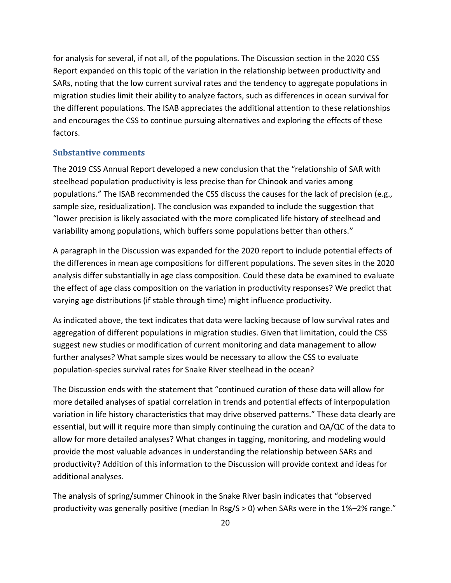for analysis for several, if not all, of the populations. The Discussion section in the 2020 CSS Report expanded on this topic of the variation in the relationship between productivity and SARs, noting that the low current survival rates and the tendency to aggregate populations in migration studies limit their ability to analyze factors, such as differences in ocean survival for the different populations. The ISAB appreciates the additional attention to these relationships and encourages the CSS to continue pursuing alternatives and exploring the effects of these factors.

#### **Substantive comments**

The 2019 CSS Annual Report developed a new conclusion that the "relationship of SAR with steelhead population productivity is less precise than for Chinook and varies among populations." The ISAB recommended the CSS discuss the causes for the lack of precision (e.g., sample size, residualization). The conclusion was expanded to include the suggestion that "lower precision is likely associated with the more complicated life history of steelhead and variability among populations, which buffers some populations better than others."

A paragraph in the Discussion was expanded for the 2020 report to include potential effects of the differences in mean age compositions for different populations. The seven sites in the 2020 analysis differ substantially in age class composition. Could these data be examined to evaluate the effect of age class composition on the variation in productivity responses? We predict that varying age distributions (if stable through time) might influence productivity.

As indicated above, the text indicates that data were lacking because of low survival rates and aggregation of different populations in migration studies. Given that limitation, could the CSS suggest new studies or modification of current monitoring and data management to allow further analyses? What sample sizes would be necessary to allow the CSS to evaluate population-species survival rates for Snake River steelhead in the ocean?

The Discussion ends with the statement that "continued curation of these data will allow for more detailed analyses of spatial correlation in trends and potential effects of interpopulation variation in life history characteristics that may drive observed patterns." These data clearly are essential, but will it require more than simply continuing the curation and QA/QC of the data to allow for more detailed analyses? What changes in tagging, monitoring, and modeling would provide the most valuable advances in understanding the relationship between SARs and productivity? Addition of this information to the Discussion will provide context and ideas for additional analyses.

The analysis of spring/summer Chinook in the Snake River basin indicates that "observed productivity was generally positive (median ln Rsg/S > 0) when SARs were in the 1%–2% range."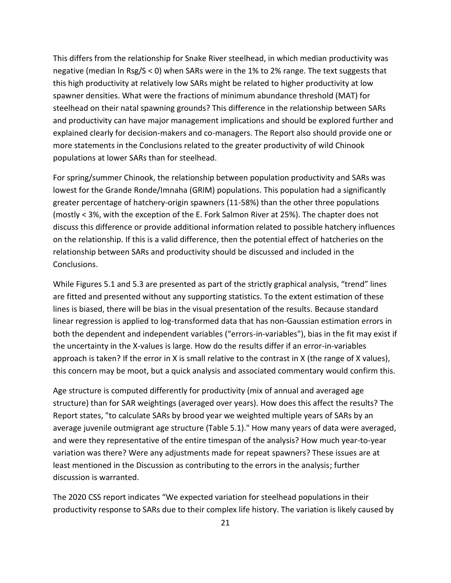This differs from the relationship for Snake River steelhead, in which median productivity was negative (median ln Rsg/S < 0) when SARs were in the 1% to 2% range. The text suggests that this high productivity at relatively low SARs might be related to higher productivity at low spawner densities. What were the fractions of minimum abundance threshold (MAT) for steelhead on their natal spawning grounds? This difference in the relationship between SARs and productivity can have major management implications and should be explored further and explained clearly for decision-makers and co-managers. The Report also should provide one or more statements in the Conclusions related to the greater productivity of wild Chinook populations at lower SARs than for steelhead.

For spring/summer Chinook, the relationship between population productivity and SARs was lowest for the Grande Ronde/Imnaha (GRIM) populations. This population had a significantly greater percentage of hatchery-origin spawners (11-58%) than the other three populations (mostly < 3%, with the exception of the E. Fork Salmon River at 25%). The chapter does not discuss this difference or provide additional information related to possible hatchery influences on the relationship. If this is a valid difference, then the potential effect of hatcheries on the relationship between SARs and productivity should be discussed and included in the Conclusions.

While Figures 5.1 and 5.3 are presented as part of the strictly graphical analysis, "trend" lines are fitted and presented without any supporting statistics. To the extent estimation of these lines is biased, there will be bias in the visual presentation of the results. Because standard linear regression is applied to log-transformed data that has non-Gaussian estimation errors in both the dependent and independent variables ("errors-in-variables"), bias in the fit may exist if the uncertainty in the X-values is large. How do the results differ if an error-in-variables approach is taken? If the error in X is small relative to the contrast in X (the range of X values), this concern may be moot, but a quick analysis and associated commentary would confirm this.

Age structure is computed differently for productivity (mix of annual and averaged age structure) than for SAR weightings (averaged over years). How does this affect the results? The Report states, "to calculate SARs by brood year we weighted multiple years of SARs by an average juvenile outmigrant age structure (Table 5.1)." How many years of data were averaged, and were they representative of the entire timespan of the analysis? How much year-to-year variation was there? Were any adjustments made for repeat spawners? These issues are at least mentioned in the Discussion as contributing to the errors in the analysis; further discussion is warranted.

The 2020 CSS report indicates "We expected variation for steelhead populations in their productivity response to SARs due to their complex life history. The variation is likely caused by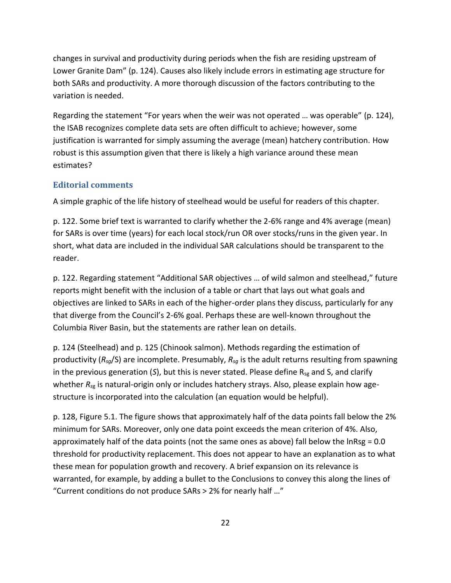changes in survival and productivity during periods when the fish are residing upstream of Lower Granite Dam" (p. 124). Causes also likely include errors in estimating age structure for both SARs and productivity. A more thorough discussion of the factors contributing to the variation is needed.

Regarding the statement "For years when the weir was not operated … was operable" (p. 124), the ISAB recognizes complete data sets are often difficult to achieve; however, some justification is warranted for simply assuming the average (mean) hatchery contribution. How robust is this assumption given that there is likely a high variance around these mean estimates?

#### **Editorial comments**

A simple graphic of the life history of steelhead would be useful for readers of this chapter.

p. 122. Some brief text is warranted to clarify whether the 2-6% range and 4% average (mean) for SARs is over time (years) for each local stock/run OR over stocks/runs in the given year. In short, what data are included in the individual SAR calculations should be transparent to the reader.

p. 122. Regarding statement "Additional SAR objectives … of wild salmon and steelhead," future reports might benefit with the inclusion of a table or chart that lays out what goals and objectives are linked to SARs in each of the higher-order plans they discuss, particularly for any that diverge from the Council's 2-6% goal. Perhaps these are well-known throughout the Columbia River Basin, but the statements are rather lean on details.

p. 124 (Steelhead) and p. 125 (Chinook salmon). Methods regarding the estimation of productivity (*Rsg*/S) are incomplete. Presumably, *Rsg* is the adult returns resulting from spawning in the previous generation (S), but this is never stated. Please define R<sub>sg</sub> and S, and clarify whether *Rs*<sup>g</sup> is natural-origin only or includes hatchery strays. Also, please explain how agestructure is incorporated into the calculation (an equation would be helpful).

p. 128, Figure 5.1. The figure shows that approximately half of the data points fall below the 2% minimum for SARs. Moreover, only one data point exceeds the mean criterion of 4%. Also, approximately half of the data points (not the same ones as above) fall below the lnRsg = 0.0 threshold for productivity replacement. This does not appear to have an explanation as to what these mean for population growth and recovery. A brief expansion on its relevance is warranted, for example, by adding a bullet to the Conclusions to convey this along the lines of "Current conditions do not produce SARs > 2% for nearly half …"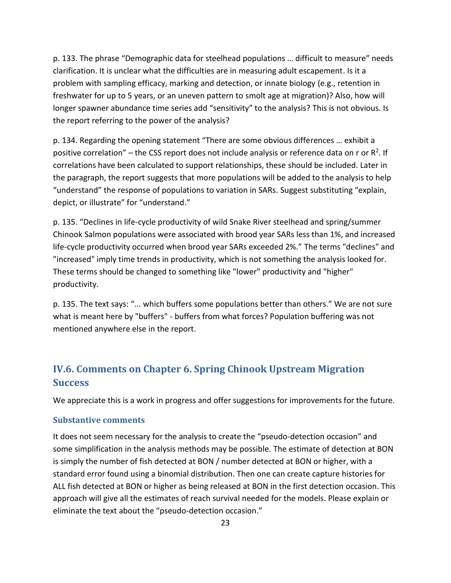p. 133. The phrase "Demographic data for steelhead populations … difficult to measure" needs clarification. It is unclear what the difficulties are in measuring adult escapement. Is it a problem with sampling efficacy, marking and detection, or innate biology (e.g., retention in freshwater for up to 5 years, or an uneven pattern to smolt age at migration)? Also, how will longer spawner abundance time series add "sensitivity" to the analysis? This is not obvious. Is the report referring to the power of the analysis?

p. 134. Regarding the opening statement "There are some obvious differences … exhibit a positive correlation" – the CSS report does not include analysis or reference data on r or  $R^2$ . If correlations have been calculated to support relationships, these should be included. Later in the paragraph, the report suggests that more populations will be added to the analysis to help "understand" the response of populations to variation in SARs. Suggest substituting "explain, depict, or illustrate" for "understand."

p. 135. "Declines in life-cycle productivity of wild Snake River steelhead and spring/summer Chinook Salmon populations were associated with brood year SARs less than 1%, and increased life-cycle productivity occurred when brood year SARs exceeded 2%." The terms "declines" and "increased" imply time trends in productivity, which is not something the analysis looked for. These terms should be changed to something like "lower" productivity and "higher" productivity.

p. 135. The text says: "... which buffers some populations better than others." We are not sure what is meant here by "buffers" - buffers from what forces? Population buffering was not mentioned anywhere else in the report.

## <span id="page-24-0"></span>**IV.6. Comments on Chapter 6. Spring Chinook Upstream Migration Success**

We appreciate this is a work in progress and offer suggestions for improvements for the future.

#### **Substantive comments**

It does not seem necessary for the analysis to create the "pseudo-detection occasion" and some simplification in the analysis methods may be possible. The estimate of detection at BON is simply the number of fish detected at BON / number detected at BON or higher, with a standard error found using a binomial distribution. Then one can create capture histories for ALL fish detected at BON or higher as being released at BON in the first detection occasion. This approach will give all the estimates of reach survival needed for the models. Please explain or eliminate the text about the "pseudo-detection occasion."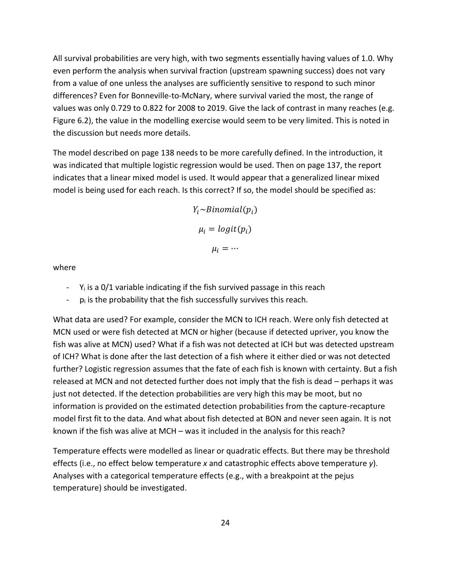All survival probabilities are very high, with two segments essentially having values of 1.0. Why even perform the analysis when survival fraction (upstream spawning success) does not vary from a value of one unless the analyses are sufficiently sensitive to respond to such minor differences? Even for Bonneville-to-McNary, where survival varied the most, the range of values was only 0.729 to 0.822 for 2008 to 2019. Give the lack of contrast in many reaches (e.g. Figure 6.2), the value in the modelling exercise would seem to be very limited. This is noted in the discussion but needs more details.

The model described on page 138 needs to be more carefully defined. In the introduction, it was indicated that multiple logistic regression would be used. Then on page 137, the report indicates that a linear mixed model is used. It would appear that a generalized linear mixed model is being used for each reach. Is this correct? If so, the model should be specified as:

> $Y_i \sim Binomial(p_i)$  $\mu_i = logit(p_i)$  $\mu_i = \cdots$

where

- $-$  Y<sub>i</sub> is a 0/1 variable indicating if the fish survived passage in this reach
- $-p_i$  is the probability that the fish successfully survives this reach.

What data are used? For example, consider the MCN to ICH reach. Were only fish detected at MCN used or were fish detected at MCN or higher (because if detected upriver, you know the fish was alive at MCN) used? What if a fish was not detected at ICH but was detected upstream of ICH? What is done after the last detection of a fish where it either died or was not detected further? Logistic regression assumes that the fate of each fish is known with certainty. But a fish released at MCN and not detected further does not imply that the fish is dead – perhaps it was just not detected. If the detection probabilities are very high this may be moot, but no information is provided on the estimated detection probabilities from the capture-recapture model first fit to the data. And what about fish detected at BON and never seen again. It is not known if the fish was alive at MCH – was it included in the analysis for this reach?

Temperature effects were modelled as linear or quadratic effects. But there may be threshold effects (i.e., no effect below temperature *x* and catastrophic effects above temperature *y*). Analyses with a categorical temperature effects (e.g., with a breakpoint at the pejus temperature) should be investigated.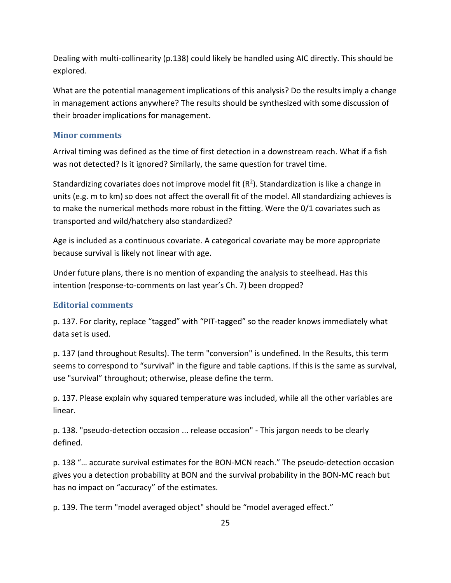Dealing with multi-collinearity (p.138) could likely be handled using AIC directly. This should be explored.

What are the potential management implications of this analysis? Do the results imply a change in management actions anywhere? The results should be synthesized with some discussion of their broader implications for management.

#### **Minor comments**

Arrival timing was defined as the time of first detection in a downstream reach. What if a fish was not detected? Is it ignored? Similarly, the same question for travel time.

Standardizing covariates does not improve model fit ( $R^2$ ). Standardization is like a change in units (e.g. m to km) so does not affect the overall fit of the model. All standardizing achieves is to make the numerical methods more robust in the fitting. Were the 0/1 covariates such as transported and wild/hatchery also standardized?

Age is included as a continuous covariate. A categorical covariate may be more appropriate because survival is likely not linear with age.

Under future plans, there is no mention of expanding the analysis to steelhead. Has this intention (response-to-comments on last year's Ch. 7) been dropped?

#### **Editorial comments**

p. 137. For clarity, replace "tagged" with "PIT-tagged" so the reader knows immediately what data set is used.

p. 137 (and throughout Results). The term "conversion" is undefined. In the Results, this term seems to correspond to "survival" in the figure and table captions. If this is the same as survival, use "survival" throughout; otherwise, please define the term.

p. 137. Please explain why squared temperature was included, while all the other variables are linear.

p. 138. "pseudo-detection occasion ... release occasion" - This jargon needs to be clearly defined.

p. 138 "… accurate survival estimates for the BON-MCN reach." The pseudo-detection occasion gives you a detection probability at BON and the survival probability in the BON-MC reach but has no impact on "accuracy" of the estimates.

p. 139. The term "model averaged object" should be "model averaged effect."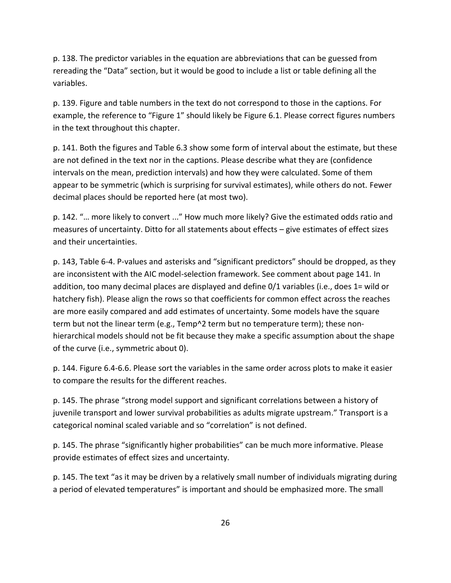p. 138. The predictor variables in the equation are abbreviations that can be guessed from rereading the "Data" section, but it would be good to include a list or table defining all the variables.

p. 139. Figure and table numbers in the text do not correspond to those in the captions. For example, the reference to "Figure 1" should likely be Figure 6.1. Please correct figures numbers in the text throughout this chapter.

p. 141. Both the figures and Table 6.3 show some form of interval about the estimate, but these are not defined in the text nor in the captions. Please describe what they are (confidence intervals on the mean, prediction intervals) and how they were calculated. Some of them appear to be symmetric (which is surprising for survival estimates), while others do not. Fewer decimal places should be reported here (at most two).

p. 142. "… more likely to convert ..." How much more likely? Give the estimated odds ratio and measures of uncertainty. Ditto for all statements about effects – give estimates of effect sizes and their uncertainties.

p. 143, Table 6-4. P-values and asterisks and "significant predictors" should be dropped, as they are inconsistent with the AIC model-selection framework. See comment about page 141. In addition, too many decimal places are displayed and define 0/1 variables (i.e., does 1= wild or hatchery fish). Please align the rows so that coefficients for common effect across the reaches are more easily compared and add estimates of uncertainty. Some models have the square term but not the linear term (e.g., Temp^2 term but no temperature term); these nonhierarchical models should not be fit because they make a specific assumption about the shape of the curve (i.e., symmetric about 0).

p. 144. Figure 6.4-6.6. Please sort the variables in the same order across plots to make it easier to compare the results for the different reaches.

p. 145. The phrase "strong model support and significant correlations between a history of juvenile transport and lower survival probabilities as adults migrate upstream." Transport is a categorical nominal scaled variable and so "correlation" is not defined.

p. 145. The phrase "significantly higher probabilities" can be much more informative. Please provide estimates of effect sizes and uncertainty.

p. 145. The text "as it may be driven by a relatively small number of individuals migrating during a period of elevated temperatures" is important and should be emphasized more. The small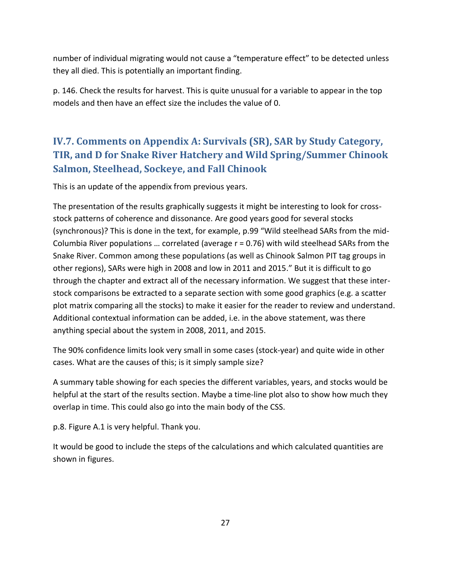number of individual migrating would not cause a "temperature effect" to be detected unless they all died. This is potentially an important finding.

p. 146. Check the results for harvest. This is quite unusual for a variable to appear in the top models and then have an effect size the includes the value of 0.

# <span id="page-28-0"></span>**IV.7. Comments on Appendix A: Survivals (SR), SAR by Study Category, TIR, and D for Snake River Hatchery and Wild Spring/Summer Chinook Salmon, Steelhead, Sockeye, and Fall Chinook**

This is an update of the appendix from previous years.

The presentation of the results graphically suggests it might be interesting to look for crossstock patterns of coherence and dissonance. Are good years good for several stocks (synchronous)? This is done in the text, for example, p.99 "Wild steelhead SARs from the mid-Columbia River populations … correlated (average r = 0.76) with wild steelhead SARs from the Snake River. Common among these populations (as well as Chinook Salmon PIT tag groups in other regions), SARs were high in 2008 and low in 2011 and 2015." But it is difficult to go through the chapter and extract all of the necessary information. We suggest that these interstock comparisons be extracted to a separate section with some good graphics (e.g. a scatter plot matrix comparing all the stocks) to make it easier for the reader to review and understand. Additional contextual information can be added, i.e. in the above statement, was there anything special about the system in 2008, 2011, and 2015.

The 90% confidence limits look very small in some cases (stock-year) and quite wide in other cases. What are the causes of this; is it simply sample size?

A summary table showing for each species the different variables, years, and stocks would be helpful at the start of the results section. Maybe a time-line plot also to show how much they overlap in time. This could also go into the main body of the CSS.

p.8. Figure A.1 is very helpful. Thank you.

It would be good to include the steps of the calculations and which calculated quantities are shown in figures.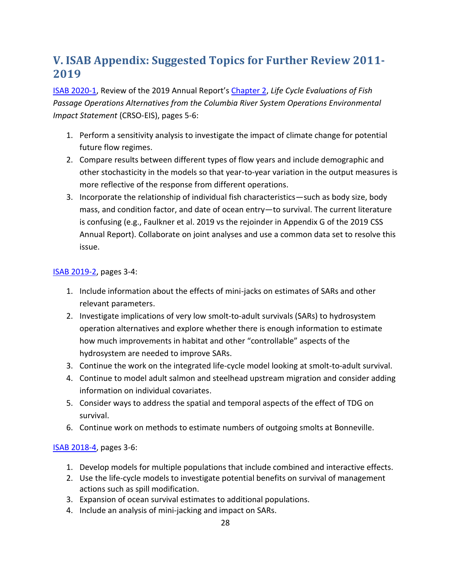# <span id="page-29-0"></span>**V. ISAB Appendix: Suggested Topics for Further Review 2011- 2019**

[ISAB 2020-1,](https://www.nwcouncil.org/reports/isab-review-chapter-2-comparative-survival-study-css-2019-annual-report) Review of the 2019 Annual Report's [Chapter 2,](https://www.fpc.org/documents/CSS/CRSO/CRSO-84.pdf) *Life Cycle Evaluations of Fish Passage Operations Alternatives from the Columbia River System Operations Environmental Impact Statement* (CRSO-EIS), pages 5-6:

- 1. Perform a sensitivity analysis to investigate the impact of climate change for potential future flow regimes.
- 2. Compare results between different types of flow years and include demographic and other stochasticity in the models so that year-to-year variation in the output measures is more reflective of the response from different operations.
- 3. Incorporate the relationship of individual fish characteristics—such as body size, body mass, and condition factor, and date of ocean entry—to survival. The current literature is confusing (e.g., Faulkner et al. 2019 vs the rejoinder in Appendix G of the 2019 CSS Annual Report). Collaborate on joint analyses and use a common data set to resolve this issue.

#### [ISAB 2019-2,](https://www.nwcouncil.org/reports/isab-review-comparative-survival-study-css-draft-2019-annual-report) pages 3-4:

- 1. Include information about the effects of mini-jacks on estimates of SARs and other relevant parameters.
- 2. Investigate implications of very low smolt-to-adult survivals (SARs) to hydrosystem operation alternatives and explore whether there is enough information to estimate how much improvements in habitat and other "controllable" aspects of the hydrosystem are needed to improve SARs.
- 3. Continue the work on the integrated life-cycle model looking at smolt-to-adult survival.
- 4. Continue to model adult salmon and steelhead upstream migration and consider adding information on individual covariates.
- 5. Consider ways to address the spatial and temporal aspects of the effect of TDG on survival.
- 6. Continue work on methods to estimate numbers of outgoing smolts at Bonneville.

#### [ISAB 2018-4,](https://www.nwcouncil.org/sites/default/files/ISAB%202018-4%20ReviewCSSdraft2018AnnualReport18Oct.pdf) pages 3-6:

- 1. Develop models for multiple populations that include combined and interactive effects.
- 2. Use the life-cycle models to investigate potential benefits on survival of management actions such as spill modification.
- 3. Expansion of ocean survival estimates to additional populations.
- 4. Include an analysis of mini-jacking and impact on SARs.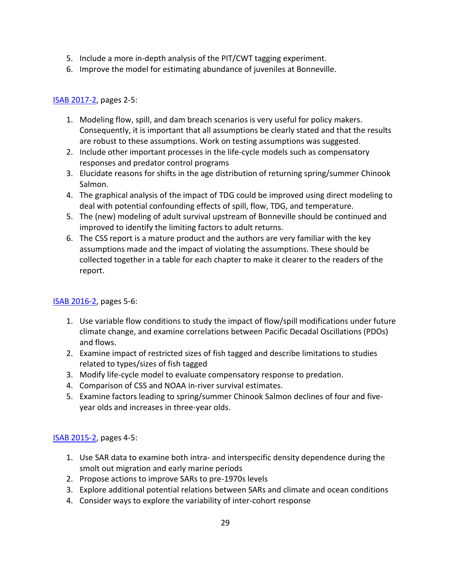- 5. Include a more in-depth analysis of the PIT/CWT tagging experiment.
- 6. Improve the model for estimating abundance of juveniles at Bonneville.

#### [ISAB 2017-2,](https://www.nwcouncil.org/fish-and-wildlife/fw-independent-advisory-committees/independent-scientific-advisory-board/review-of-comparative-survival-study-draft-2017-annual-report) pages 2-5:

- 1. Modeling flow, spill, and dam breach scenarios is very useful for policy makers. Consequently, it is important that all assumptions be clearly stated and that the results are robust to these assumptions. Work on testing assumptions was suggested.
- 2. Include other important processes in the life-cycle models such as compensatory responses and predator control programs
- 3. Elucidate reasons for shifts in the age distribution of returning spring/summer Chinook Salmon.
- 4. The graphical analysis of the impact of TDG could be improved using direct modeling to deal with potential confounding effects of spill, flow, TDG, and temperature.
- 5. The (new) modeling of adult survival upstream of Bonneville should be continued and improved to identify the limiting factors to adult returns.
- 6. The CSS report is a mature product and the authors are very familiar with the key assumptions made and the impact of violating the assumptions. These should be collected together in a table for each chapter to make it clearer to the readers of the report.

#### [ISAB 2016-2,](http://www.nwcouncil.org/fw/isab/isab2016-2) pages 5-6:

- 1. Use variable flow conditions to study the impact of flow/spill modifications under future climate change, and examine correlations between Pacific Decadal Oscillations (PDOs) and flows.
- 2. Examine impact of restricted sizes of fish tagged and describe limitations to studies related to types/sizes of fish tagged
- 3. Modify life-cycle model to evaluate compensatory response to predation.
- 4. Comparison of CSS and NOAA in-river survival estimates.
- 5. Examine factors leading to spring/summer Chinook Salmon declines of four and fiveyear olds and increases in three-year olds.

#### [ISAB 2015-2,](http://www.nwcouncil.org/fw/isab/isab2015-2/) pages 4-5:

- 1. Use SAR data to examine both intra- and interspecific density dependence during the smolt out migration and early marine periods
- 2. Propose actions to improve SARs to pre-1970s levels
- 3. Explore additional potential relations between SARs and climate and ocean conditions
- 4. Consider ways to explore the variability of inter-cohort response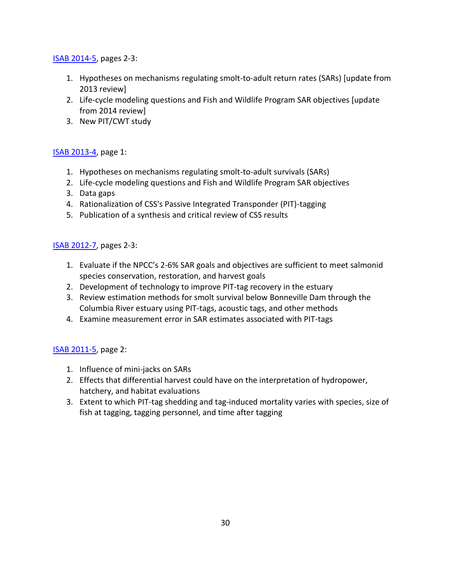#### [ISAB 2014-5,](http://www.nwcouncil.org/fw/isab/isab2014-5) pages 2-3:

- 1. Hypotheses on mechanisms regulating smolt-to-adult return rates (SARs) [update from 2013 review]
- 2. Life-cycle modeling questions and Fish and Wildlife Program SAR objectives [update from 2014 review]
- 3. New PIT/CWT study

#### [ISAB 2013-4,](http://www.nwcouncil.org/fw/isab/isab2013-4) page 1:

- 1. Hypotheses on mechanisms regulating smolt-to-adult survivals (SARs)
- 2. Life-cycle modeling questions and Fish and Wildlife Program SAR objectives
- 3. Data gaps
- 4. Rationalization of CSS's Passive Integrated Transponder (PIT)-tagging
- 5. Publication of a synthesis and critical review of CSS results

#### [ISAB 2012-7,](https://www.nwcouncil.org/fish-and-wildlife/fw-independent-advisory-committees/independent-scientific-advisory-board/review-of-the-comparative-survival-studys-draft-2012-annual-report) pages 2-3:

- 1. Evaluate if the NPCC's 2-6% SAR goals and objectives are sufficient to meet salmonid species conservation, restoration, and harvest goals
- 2. Development of technology to improve PIT-tag recovery in the estuary
- 3. Review estimation methods for smolt survival below Bonneville Dam through the Columbia River estuary using PIT-tags, acoustic tags, and other methods
- 4. Examine measurement error in SAR estimates associated with PIT-tags

#### [ISAB 2011-5,](https://www.nwcouncil.org/sites/default/files/isab2011_5.pdf) page 2:

- 1. Influence of mini-jacks on SARs
- 2. Effects that differential harvest could have on the interpretation of hydropower, hatchery, and habitat evaluations
- 3. Extent to which PIT-tag shedding and tag-induced mortality varies with species, size of fish at tagging, tagging personnel, and time after tagging